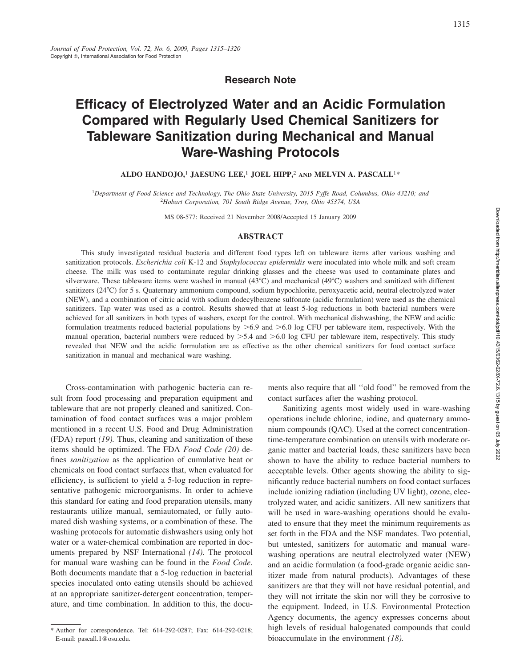**Research Note**

# **Efficacy of Electrolyzed Water and an Acidic Formulation Compared with Regularly Used Chemical Sanitizers for Tableware Sanitization during Mechanical and Manual Ware-Washing Protocols**

**ALDO HANDOJO,**<sup>1</sup> **JAESUNG LEE,**<sup>1</sup> **JOEL HIPP,**<sup>2</sup> **AND MELVIN A. PASCALL**1\*

<sup>1</sup>*Department of Food Science and Technology, The Ohio State University, 2015 Fyffe Road, Columbus, Ohio 43210; and* <sup>2</sup>*Hobart Corporation, 701 South Ridge Avenue, Troy, Ohio 45374, USA*

MS 08-577: Received 21 November 2008/Accepted 15 January 2009

## **ABSTRACT**

This study investigated residual bacteria and different food types left on tableware items after various washing and sanitization protocols. *Escherichia coli* K-12 and *Staphylococcus epidermidis* were inoculated into whole milk and soft cream cheese. The milk was used to contaminate regular drinking glasses and the cheese was used to contaminate plates and silverware. These tableware items were washed in manual  $(43^{\circ}C)$  and mechanical  $(49^{\circ}C)$  washers and sanitized with different sanitizers (24°C) for 5 s. Quaternary ammonium compound, sodium hypochlorite, peroxyacetic acid, neutral electrolyzed water (NEW), and a combination of citric acid with sodium dodecylbenzene sulfonate (acidic formulation) were used as the chemical sanitizers. Tap water was used as a control. Results showed that at least 5-log reductions in both bacterial numbers were achieved for all sanitizers in both types of washers, except for the control. With mechanical dishwashing, the NEW and acidic formulation treatments reduced bacterial populations by  $>6.9$  and  $>6.0$  log CFU per tableware item, respectively. With the manual operation, bacterial numbers were reduced by  $>5.4$  and  $>6.0$  log CFU per tableware item, respectively. This study revealed that NEW and the acidic formulation are as effective as the other chemical sanitizers for food contact surface sanitization in manual and mechanical ware washing.

Cross-contamination with pathogenic bacteria can result from food processing and preparation equipment and tableware that are not properly cleaned and sanitized. Contamination of food contact surfaces was a major problem mentioned in a recent U.S. Food and Drug Administration (FDA) report *(19).* Thus, cleaning and sanitization of these items should be optimized. The FDA *Food Code (20)* defines *sanitization* as the application of cumulative heat or chemicals on food contact surfaces that, when evaluated for efficiency, is sufficient to yield a 5-log reduction in representative pathogenic microorganisms. In order to achieve this standard for eating and food preparation utensils, many restaurants utilize manual, semiautomated, or fully automated dish washing systems, or a combination of these. The washing protocols for automatic dishwashers using only hot water or a water-chemical combination are reported in documents prepared by NSF International *(14).* The protocol for manual ware washing can be found in the *Food Code.* Both documents mandate that a 5-log reduction in bacterial species inoculated onto eating utensils should be achieved at an appropriate sanitizer-detergent concentration, temperature, and time combination. In addition to this, the documents also require that all ''old food'' be removed from the contact surfaces after the washing protocol.

Sanitizing agents most widely used in ware-washing operations include chlorine, iodine, and quaternary ammonium compounds (QAC). Used at the correct concentrationtime-temperature combination on utensils with moderate organic matter and bacterial loads, these sanitizers have been shown to have the ability to reduce bacterial numbers to acceptable levels. Other agents showing the ability to significantly reduce bacterial numbers on food contact surfaces include ionizing radiation (including UV light), ozone, electrolyzed water, and acidic sanitizers. All new sanitizers that will be used in ware-washing operations should be evaluated to ensure that they meet the minimum requirements as set forth in the FDA and the NSF mandates. Two potential, but untested, sanitizers for automatic and manual warewashing operations are neutral electrolyzed water (NEW) and an acidic formulation (a food-grade organic acidic sanitizer made from natural products). Advantages of these sanitizers are that they will not have residual potential, and they will not irritate the skin nor will they be corrosive to the equipment. Indeed, in U.S. Environmental Protection Agency documents, the agency expresses concerns about high levels of residual halogenated compounds that could bioaccumulate in the environment *(18).*

<sup>\*</sup> Author for correspondence. Tel: 614-292-0287; Fax: 614-292-0218; E-mail: pascall.1@osu.edu.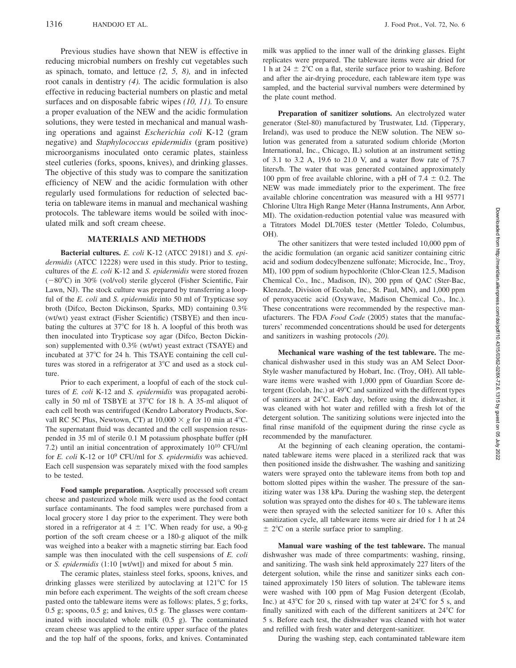Previous studies have shown that NEW is effective in reducing microbial numbers on freshly cut vegetables such as spinach, tomato, and lettuce *(2, 5, 8),* and in infected root canals in dentistry *(4).* The acidic formulation is also effective in reducing bacterial numbers on plastic and metal surfaces and on disposable fabric wipes *(10, 11).* To ensure a proper evaluation of the NEW and the acidic formulation solutions, they were tested in mechanical and manual washing operations and against *Escherichia coli* K-12 (gram negative) and *Staphylococcus epidermidis* (gram positive) microorganisms inoculated onto ceramic plates, stainless steel cutleries (forks, spoons, knives), and drinking glasses. The objective of this study was to compare the sanitization efficiency of NEW and the acidic formulation with other regularly used formulations for reduction of selected bacteria on tableware items in manual and mechanical washing protocols. The tableware items would be soiled with inoculated milk and soft cream cheese.

#### **MATERIALS AND METHODS**

**Bacterial cultures.** *E. coli* K-12 (ATCC 29181) and *S. epidermidis* (ATCC 12228) were used in this study. Prior to testing, cultures of the *E. coli* K-12 and *S. epidermidis* were stored frozen (-80°C) in 30% (vol/vol) sterile glycerol (Fisher Scientific, Fair Lawn, NJ). The stock culture was prepared by transferring a loopful of the *E. coli* and *S. epidermidis* into 50 ml of Trypticase soy broth (Difco, Becton Dickinson, Sparks, MD) containing 0.3% (wt/wt) yeast extract (Fisher Scientific) (TSBYE) and then incubating the cultures at  $37^{\circ}$ C for 18 h. A loopful of this broth was then inoculated into Trypticase soy agar (Difco, Becton Dickinson) supplemented with 0.3% (wt/wt) yeast extract (TSAYE) and incubated at 37°C for 24 h. This TSAYE containing the cell cultures was stored in a refrigerator at  $3^{\circ}$ C and used as a stock culture.

Prior to each experiment, a loopful of each of the stock cultures of *E. coli* K-12 and *S. epidermidis* was propagated aerobically in 50 ml of TSBYE at 37°C for 18 h. A 35-ml aliquot of each cell broth was centrifuged (Kendro Laboratory Products, Sorvall RC 5C Plus, Newtown, CT) at  $10,000 \times g$  for 10 min at 4<sup>o</sup>C. The supernatant fluid was decanted and the cell suspension resuspended in 35 ml of sterile 0.1 M potassium phosphate buffer (pH 7.2) until an initial concentration of approximately 1010 CFU/ml for *E. coli* K-12 or 10<sup>9</sup> CFU/ml for *S. epidermidis* was achieved. Each cell suspension was separately mixed with the food samples to be tested.

**Food sample preparation.** Aseptically processed soft cream cheese and pasteurized whole milk were used as the food contact surface contaminants. The food samples were purchased from a local grocery store 1 day prior to the experiment. They were both stored in a refrigerator at  $4 \pm 1$ °C. When ready for use, a 90-g portion of the soft cream cheese or a 180-g aliquot of the milk was weighed into a beaker with a magnetic stirring bar. Each food sample was then inoculated with the cell suspensions of *E. coli* or *S. epidermidis* (1:10 [wt/wt]) and mixed for about 5 min.

The ceramic plates, stainless steel forks, spoons, knives, and drinking glasses were sterilized by autoclaving at 121°C for 15 min before each experiment. The weights of the soft cream cheese pasted onto the tableware items were as follows: plates, 5 g; forks, 0.5 g; spoons, 0.5 g; and knives, 0.5 g. The glasses were contaminated with inoculated whole milk (0.5 g). The contaminated cream cheese was applied to the entire upper surface of the plates and the top half of the spoons, forks, and knives. Contaminated

milk was applied to the inner wall of the drinking glasses. Eight replicates were prepared. The tableware items were air dried for 1 h at  $24 \pm 2^{\circ}$ C on a flat, sterile surface prior to washing. Before and after the air-drying procedure, each tableware item type was sampled, and the bacterial survival numbers were determined by the plate count method.

**Preparation of sanitizer solutions.** An electrolyzed water generator (Stel-80) manufactured by Trustwater, Ltd. (Tipperary, Ireland), was used to produce the NEW solution. The NEW solution was generated from a saturated sodium chloride (Morton International, Inc., Chicago, IL) solution at an instrument setting of 3.1 to 3.2 A, 19.6 to 21.0 V, and a water flow rate of 75.7 liters/h. The water that was generated contained approximately 100 ppm of free available chlorine, with a pH of 7.4  $\pm$  0.2. The NEW was made immediately prior to the experiment. The free available chlorine concentration was measured with a HI 95771 Chlorine Ultra High Range Meter (Hanna Instruments, Ann Arbor, MI). The oxidation-reduction potential value was measured with a Titrators Model DL70ES tester (Mettler Toledo, Columbus, OH).

The other sanitizers that were tested included 10,000 ppm of the acidic formulation (an organic acid sanitizer containing citric acid and sodium dodecylbenzene sulfonate; Microcide, Inc., Troy, MI), 100 ppm of sodium hypochlorite (Chlor-Clean 12.5, Madison Chemical Co., Inc., Madison, IN), 200 ppm of QAC (Ster-Bac, Klenzade, Division of Ecolab, Inc., St. Paul, MN), and 1,000 ppm of peroxyacetic acid (Oxywave, Madison Chemical Co., Inc.). These concentrations were recommended by the respective manufacturers. The FDA *Food Code* (2005) states that the manufacturers' recommended concentrations should be used for detergents and sanitizers in washing protocols *(20).*

**Mechanical ware washing of the test tableware.** The mechanical dishwasher used in this study was an AM Select Door-Style washer manufactured by Hobart, Inc. (Troy, OH). All tableware items were washed with 1,000 ppm of Guardian Score detergent (Ecolab, Inc.) at 49°C and sanitized with the different types of sanitizers at 24°C. Each day, before using the dishwasher, it was cleaned with hot water and refilled with a fresh lot of the detergent solution. The sanitizing solutions were injected into the final rinse manifold of the equipment during the rinse cycle as recommended by the manufacturer.

At the beginning of each cleaning operation, the contaminated tableware items were placed in a sterilized rack that was then positioned inside the dishwasher. The washing and sanitizing waters were sprayed onto the tableware items from both top and bottom slotted pipes within the washer. The pressure of the sanitizing water was 138 kPa. During the washing step, the detergent solution was sprayed onto the dishes for 40 s. The tableware items were then sprayed with the selected sanitizer for 10 s. After this sanitization cycle, all tableware items were air dried for 1 h at 24  $\pm$  2°C on a sterile surface prior to sampling.

**Manual ware washing of the test tableware.** The manual dishwasher was made of three compartments: washing, rinsing, and sanitizing. The wash sink held approximately 227 liters of the detergent solution, while the rinse and sanitizer sinks each contained approximately 150 liters of solution. The tableware items were washed with 100 ppm of Mag Fusion detergent (Ecolab, Inc.) at  $43^{\circ}$ C for 20 s, rinsed with tap water at  $24^{\circ}$ C for 5 s, and finally sanitized with each of the different sanitizers at 24°C for 5 s. Before each test, the dishwasher was cleaned with hot water and refilled with fresh water and detergent-sanitizer.

During the washing step, each contaminated tableware item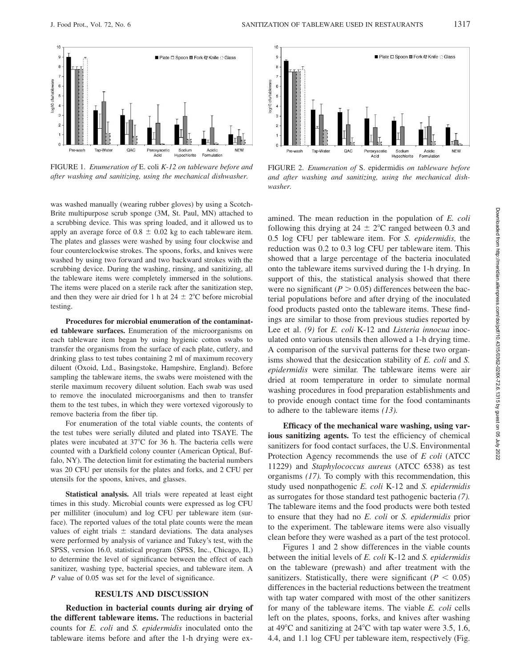

FIGURE 1. *Enumeration of* E. coli *K-12 on tableware before and after washing and sanitizing, using the mechanical dishwasher.*

was washed manually (wearing rubber gloves) by using a Scotch-Brite multipurpose scrub sponge (3M, St. Paul, MN) attached to a scrubbing device. This was spring loaded, and it allowed us to apply an average force of  $0.8 \pm 0.02$  kg to each tableware item. The plates and glasses were washed by using four clockwise and four counterclockwise strokes. The spoons, forks, and knives were washed by using two forward and two backward strokes with the scrubbing device. During the washing, rinsing, and sanitizing, all the tableware items were completely immersed in the solutions. The items were placed on a sterile rack after the sanitization step, and then they were air dried for 1 h at  $24 \pm 2^{\circ}$ C before microbial testing.

**Procedures for microbial enumeration of the contaminated tableware surfaces.** Enumeration of the microorganisms on each tableware item began by using hygienic cotton swabs to transfer the organisms from the surface of each plate, cutlery, and drinking glass to test tubes containing 2 ml of maximum recovery diluent (Oxoid, Ltd., Basingstoke, Hampshire, England). Before sampling the tableware items, the swabs were moistened with the sterile maximum recovery diluent solution. Each swab was used to remove the inoculated microorganisms and then to transfer them to the test tubes, in which they were vortexed vigorously to remove bacteria from the fiber tip.

For enumeration of the total viable counts, the contents of the test tubes were serially diluted and plated into TSAYE. The plates were incubated at  $37^{\circ}$ C for 36 h. The bacteria cells were counted with a Darkfield colony counter (American Optical, Buffalo, NY). The detection limit for estimating the bacterial numbers was 20 CFU per utensils for the plates and forks, and 2 CFU per utensils for the spoons, knives, and glasses.

**Statistical analysis.** All trials were repeated at least eight times in this study. Microbial counts were expressed as log CFU per milliliter (inoculum) and log CFU per tableware item (surface). The reported values of the total plate counts were the mean values of eight trials  $\pm$  standard deviations. The data analyses were performed by analysis of variance and Tukey's test, with the SPSS, version 16.0, statistical program (SPSS, Inc., Chicago, IL) to determine the level of significance between the effect of each sanitizer, washing type, bacterial species, and tableware item. A *P* value of 0.05 was set for the level of significance.

#### **RESULTS AND DISCUSSION**

**Reduction in bacterial counts during air drying of the different tableware items.** The reductions in bacterial counts for *E. coli* and *S. epidermidis* inoculated onto the tableware items before and after the 1-h drying were ex-



FIGURE 2. *Enumeration of* S. epidermidis *on tableware before and after washing and sanitizing, using the mechanical dishwasher.*

amined. The mean reduction in the population of *E. coli* following this drying at  $24 \pm 2$ °C ranged between 0.3 and 0.5 log CFU per tableware item. For *S. epidermidis,* the reduction was 0.2 to 0.3 log CFU per tableware item. This showed that a large percentage of the bacteria inoculated onto the tableware items survived during the 1-h drying. In support of this, the statistical analysis showed that there were no significant  $(P > 0.05)$  differences between the bacterial populations before and after drying of the inoculated food products pasted onto the tableware items. These findings are similar to those from previous studies reported by Lee et al. *(9)* for *E. coli* K-12 and *Listeria innocua* inoculated onto various utensils then allowed a 1-h drying time. A comparison of the survival patterns for these two organisms showed that the desiccation stability of *E. coli* and *S. epidermidis* were similar. The tableware items were air dried at room temperature in order to simulate normal washing procedures in food preparation establishments and to provide enough contact time for the food contaminants to adhere to the tableware items *(13).*

**Efficacy of the mechanical ware washing, using various sanitizing agents.** To test the efficiency of chemical sanitizers for food contact surfaces, the U.S. Environmental Protection Agency recommends the use of *E coli* (ATCC 11229) and *Staphylococcus aureus* (ATCC 6538) as test organisms *(17).* To comply with this recommendation, this study used nonpathogenic *E. coli* K-12 and *S. epidermidis* as surrogates for those standard test pathogenic bacteria *(7).* The tableware items and the food products were both tested to ensure that they had no *E. coli* or *S. epidermidis* prior to the experiment. The tableware items were also visually clean before they were washed as a part of the test protocol.

Figures 1 and 2 show differences in the viable counts between the initial levels of *E. coli* K-12 and *S. epidermidis* on the tableware (prewash) and after treatment with the sanitizers. Statistically, there were significant  $(P < 0.05)$ differences in the bacterial reductions between the treatment with tap water compared with most of the other sanitizers for many of the tableware items. The viable *E. coli* cells left on the plates, spoons, forks, and knives after washing at 49 $^{\circ}$ C and sanitizing at 24 $^{\circ}$ C with tap water were 3.5, 1.6, 4.4, and 1.1 log CFU per tableware item, respectively (Fig.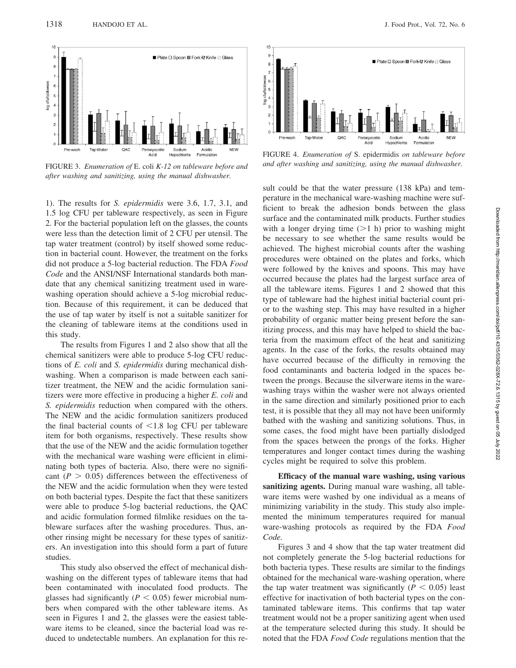

FIGURE 3. *Enumeration of* E. coli *K-12 on tableware before and after washing and sanitizing, using the manual dishwasher.*

1). The results for *S. epidermidis* were 3.6, 1.7, 3.1, and 1.5 log CFU per tableware respectively, as seen in Figure 2. For the bacterial population left on the glasses, the counts were less than the detection limit of 2 CFU per utensil. The tap water treatment (control) by itself showed some reduction in bacterial count. However, the treatment on the forks did not produce a 5-log bacterial reduction. The FDA *Food Code* and the ANSI/NSF International standards both mandate that any chemical sanitizing treatment used in warewashing operation should achieve a 5-log microbial reduction. Because of this requirement, it can be deduced that the use of tap water by itself is not a suitable sanitizer for the cleaning of tableware items at the conditions used in this study.

The results from Figures 1 and 2 also show that all the chemical sanitizers were able to produce 5-log CFU reductions of *E. coli* and *S. epidermidis* during mechanical dishwashing. When a comparison is made between each sanitizer treatment, the NEW and the acidic formulation sanitizers were more effective in producing a higher *E. coli* and *S. epidermidis* reduction when compared with the others. The NEW and the acidic formulation sanitizers produced the final bacterial counts of  $\leq$ 1.8 log CFU per tableware item for both organisms, respectively. These results show that the use of the NEW and the acidic formulation together with the mechanical ware washing were efficient in eliminating both types of bacteria. Also, there were no significant  $(P > 0.05)$  differences between the effectiveness of the NEW and the acidic formulation when they were tested on both bacterial types. Despite the fact that these sanitizers were able to produce 5-log bacterial reductions, the QAC and acidic formulation formed filmlike residues on the tableware surfaces after the washing procedures. Thus, another rinsing might be necessary for these types of sanitizers. An investigation into this should form a part of future studies.

This study also observed the effect of mechanical dishwashing on the different types of tableware items that had been contaminated with inoculated food products. The glasses had significantly ( $P < 0.05$ ) fewer microbial numbers when compared with the other tableware items. As seen in Figures 1 and 2, the glasses were the easiest tableware items to be cleaned, since the bacterial load was reduced to undetectable numbers. An explanation for this re-



FIGURE 4. *Enumeration of* S. epidermidis *on tableware before and after washing and sanitizing, using the manual dishwasher.*

sult could be that the water pressure (138 kPa) and temperature in the mechanical ware-washing machine were sufficient to break the adhesion bonds between the glass surface and the contaminated milk products. Further studies with a longer drying time  $(1 h)$  prior to washing might be necessary to see whether the same results would be achieved. The highest microbial counts after the washing procedures were obtained on the plates and forks, which were followed by the knives and spoons. This may have occurred because the plates had the largest surface area of all the tableware items. Figures 1 and 2 showed that this type of tableware had the highest initial bacterial count prior to the washing step. This may have resulted in a higher probability of organic matter being present before the sanitizing process, and this may have helped to shield the bacteria from the maximum effect of the heat and sanitizing agents. In the case of the forks, the results obtained may have occurred because of the difficulty in removing the food contaminants and bacteria lodged in the spaces between the prongs. Because the silverware items in the warewashing trays within the washer were not always oriented in the same direction and similarly positioned prior to each test, it is possible that they all may not have been uniformly bathed with the washing and sanitizing solutions. Thus, in some cases, the food might have been partially dislodged from the spaces between the prongs of the forks. Higher temperatures and longer contact times during the washing cycles might be required to solve this problem.

**Efficacy of the manual ware washing, using various sanitizing agents.** During manual ware washing, all tableware items were washed by one individual as a means of minimizing variability in the study. This study also implemented the minimum temperatures required for manual ware-washing protocols as required by the FDA *Food Code.*

Figures 3 and 4 show that the tap water treatment did not completely generate the 5-log bacterial reductions for both bacteria types. These results are similar to the findings obtained for the mechanical ware-washing operation, where the tap water treatment was significantly  $(P < 0.05)$  least effective for inactivation of both bacterial types on the contaminated tableware items. This confirms that tap water treatment would not be a proper sanitizing agent when used at the temperature selected during this study. It should be noted that the FDA *Food Code* regulations mention that the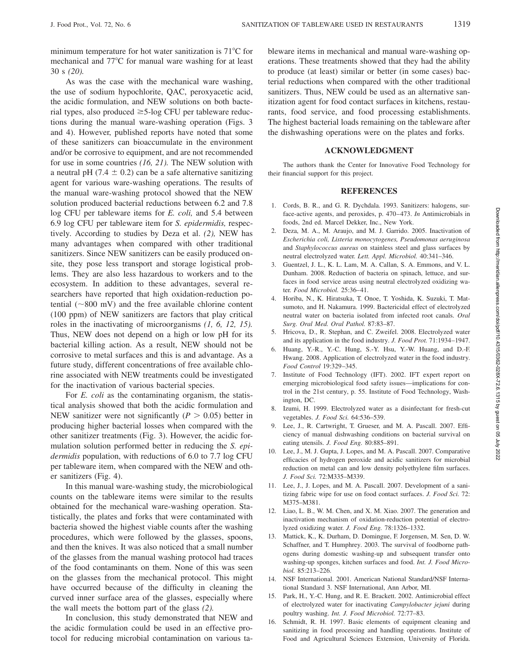minimum temperature for hot water sanitization is 71°C for mechanical and 77°C for manual ware washing for at least 30 s *(20).*

As was the case with the mechanical ware washing, the use of sodium hypochlorite, QAC, peroxyacetic acid, the acidic formulation, and NEW solutions on both bacterial types, also produced  $\geq$ 5-log CFU per tableware reductions during the manual ware-washing operation (Figs. 3 and 4). However, published reports have noted that some of these sanitizers can bioaccumulate in the environment and/or be corrosive to equipment, and are not recommended for use in some countries *(16, 21).* The NEW solution with a neutral pH (7.4  $\pm$  0.2) can be a safe alternative sanitizing agent for various ware-washing operations. The results of the manual ware-washing protocol showed that the NEW solution produced bacterial reductions between 6.2 and 7.8 log CFU per tableware items for *E. coli,* and 5.4 between 6.9 log CFU per tableware item for *S. epidermidis,* respectively. According to studies by Deza et al. *(2),* NEW has many advantages when compared with other traditional sanitizers. Since NEW sanitizers can be easily produced onsite, they pose less transport and storage logistical problems. They are also less hazardous to workers and to the ecosystem. In addition to these advantages, several researchers have reported that high oxidation-reduction potential  $(\sim 800 \text{ mV})$  and the free available chlorine content (100 ppm) of NEW sanitizers are factors that play critical roles in the inactivating of microorganisms *(1, 6, 12, 15).* Thus, NEW does not depend on a high or low pH for its bacterial killing action. As a result, NEW should not be corrosive to metal surfaces and this is and advantage. As a future study, different concentrations of free available chlorine associated with NEW treatments could be investigated for the inactivation of various bacterial species.

For *E. coli* as the contaminating organism, the statistical analysis showed that both the acidic formulation and NEW sanitizer were not significantly  $(P > 0.05)$  better in producing higher bacterial losses when compared with the other sanitizer treatments (Fig. 3). However, the acidic formulation solution performed better in reducing the *S. epidermidis* population, with reductions of 6.0 to 7.7 log CFU per tableware item, when compared with the NEW and other sanitizers (Fig. 4).

In this manual ware-washing study, the microbiological counts on the tableware items were similar to the results obtained for the mechanical ware-washing operation. Statistically, the plates and forks that were contaminated with bacteria showed the highest viable counts after the washing procedures, which were followed by the glasses, spoons, and then the knives. It was also noticed that a small number of the glasses from the manual washing protocol had traces of the food contaminants on them. None of this was seen on the glasses from the mechanical protocol. This might have occurred because of the difficulty in cleaning the curved inner surface area of the glasses, especially where the wall meets the bottom part of the glass *(2).*

In conclusion, this study demonstrated that NEW and the acidic formulation could be used in an effective protocol for reducing microbial contamination on various tableware items in mechanical and manual ware-washing operations. These treatments showed that they had the ability to produce (at least) similar or better (in some cases) bacterial reductions when compared with the other traditional sanitizers. Thus, NEW could be used as an alternative sanitization agent for food contact surfaces in kitchens, restaurants, food service, and food processing establishments. The highest bacterial loads remaining on the tableware after the dishwashing operations were on the plates and forks.

#### **ACKNOWLEDGMENT**

The authors thank the Center for Innovative Food Technology for their financial support for this project.

### **REFERENCES**

- 1. Cords, B. R., and G. R. Dychdala. 1993. Sanitizers: halogens, surface-active agents, and peroxides, p. 470–473. *In* Antimicrobials in foods, 2nd ed. Marcel Dekker, Inc., New York.
- 2. Deza, M. A., M. Araujo, and M. J. Garrido. 2005. Inactivation of *Escherichia coli, Listeria monocytogenes, Pseudomonas aeruginosa* and *Staphylococcus aureus* on stainless steel and glass surfaces by neutral electrolyzed water. *Lett. Appl. Microbiol.* 40:341–346.
- 3. Guentzel, J. L., K. L. Lam, M. A. Callan, S. A. Emmons, and V. L. Dunham. 2008. Reduction of bacteria on spinach, lettuce, and surfaces in food service areas using neutral electrolyzed oxidizing water. *Food Microbiol.* 25:36–41.
- 4. Horiba, N., K. Hiratsuka, T. Onoe, T. Yoshida, K. Suzuki, T. Matsumoto, and H. Nakamura. 1999. Bactericidal effect of electrolyzed neutral water on bacteria isolated from infected root canals. *Oral Surg. Oral Med. Oral Pathol.* 87:83–87.
- 5. Hricova, D., R. Stephan, and C. Zweifel. 2008. Electrolyzed water and its application in the food industry. *J. Food Prot.* 71:1934–1947.
- 6. Huang, Y.-R., Y.-C. Hung, S.-Y. Hsu, Y.-W. Huang, and D.-F. Hwang. 2008. Application of electrolyzed water in the food industry. *Food Control* 19:329–345.
- 7. Institute of Food Technology (IFT). 2002. IFT expert report on emerging microbiological food safety issues—implications for control in the 21st century, p. 55. Institute of Food Technology, Washington, DC.
- 8. Izumi, H. 1999. Electrolyzed water as a disinfectant for fresh-cut vegetables. *J. Food Sci.* 64:536–539.
- 9. Lee, J., R. Cartwright, T. Grueser, and M. A. Pascall. 2007. Efficiency of manual dishwashing conditions on bacterial survival on eating utensils. *J. Food Eng.* 80:885–891.
- 10. Lee, J., M. J. Gupta, J. Lopes, and M. A. Pascall. 2007. Comparative efficacies of hydrogen peroxide and acidic sanitizers for microbial reduction on metal can and low density polyethylene film surfaces. *J. Food Sci.* 72:M335–M339.
- 11. Lee, J., J. Lopes, and M. A. Pascall. 2007. Development of a sanitizing fabric wipe for use on food contact surfaces. *J. Food Sci.* 72: M375–M381.
- 12. Liao, L. B., W. M. Chen, and X. M. Xiao. 2007. The generation and inactivation mechanism of oxidation-reduction potential of electrolyzed oxidizing water. *J. Food Eng.* 78:1326–1332.
- 13. Mattick, K., K. Durham, D. Domingue, F. Jorgensen, M. Sen, D. W. Schaffner, and T. Humphrey. 2003. The survival of foodborne pathogens during domestic washing-up and subsequent transfer onto washing-up sponges, kitchen surfaces and food. *Int. J. Food Microbiol.* 85:213–226.
- 14. NSF International. 2001. American National Standard/NSF International Standard 3. NSF International, Ann Arbor, MI.
- 15. Park, H., Y.-C. Hung, and R. E. Brackett. 2002. Antimicrobial effect of electrolyzed water for inactivating *Campylobacter jejuni* during poultry washing. *Int. J. Food Microbiol.* 72:77–83.
- 16. Schmidt, R. H. 1997. Basic elements of equipment cleaning and sanitizing in food processing and handling operations. Institute of Food and Agricultural Sciences Extension, University of Florida.